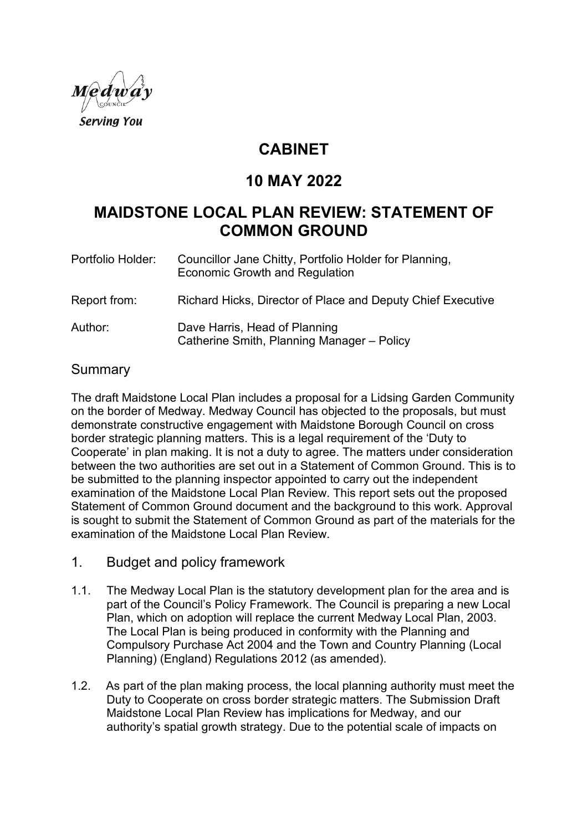

# **CABINET**

# **10 MAY 2022**

# **MAIDSTONE LOCAL PLAN REVIEW: STATEMENT OF COMMON GROUND**

| Portfolio Holder: | Councillor Jane Chitty, Portfolio Holder for Planning,<br><b>Economic Growth and Regulation</b> |  |
|-------------------|-------------------------------------------------------------------------------------------------|--|
| Report from:      | Richard Hicks, Director of Place and Deputy Chief Executive                                     |  |
| Author:           | Dave Harris, Head of Planning<br>Catherine Smith, Planning Manager - Policy                     |  |

## Summary

The draft Maidstone Local Plan includes a proposal for a Lidsing Garden Community on the border of Medway. Medway Council has objected to the proposals, but must demonstrate constructive engagement with Maidstone Borough Council on cross border strategic planning matters. This is a legal requirement of the 'Duty to Cooperate' in plan making. It is not a duty to agree. The matters under consideration between the two authorities are set out in a Statement of Common Ground. This is to be submitted to the planning inspector appointed to carry out the independent examination of the Maidstone Local Plan Review. This report sets out the proposed Statement of Common Ground document and the background to this work. Approval is sought to submit the Statement of Common Ground as part of the materials for the examination of the Maidstone Local Plan Review.

- 1. Budget and policy framework
- 1.1. The Medway Local Plan is the statutory development plan for the area and is part of the Council's Policy Framework. The Council is preparing a new Local Plan, which on adoption will replace the current Medway Local Plan, 2003. The Local Plan is being produced in conformity with the Planning and Compulsory Purchase Act 2004 and the Town and Country Planning (Local Planning) (England) Regulations 2012 (as amended).
- 1.2. As part of the plan making process, the local planning authority must meet the Duty to Cooperate on cross border strategic matters. The Submission Draft Maidstone Local Plan Review has implications for Medway, and our authority's spatial growth strategy. Due to the potential scale of impacts on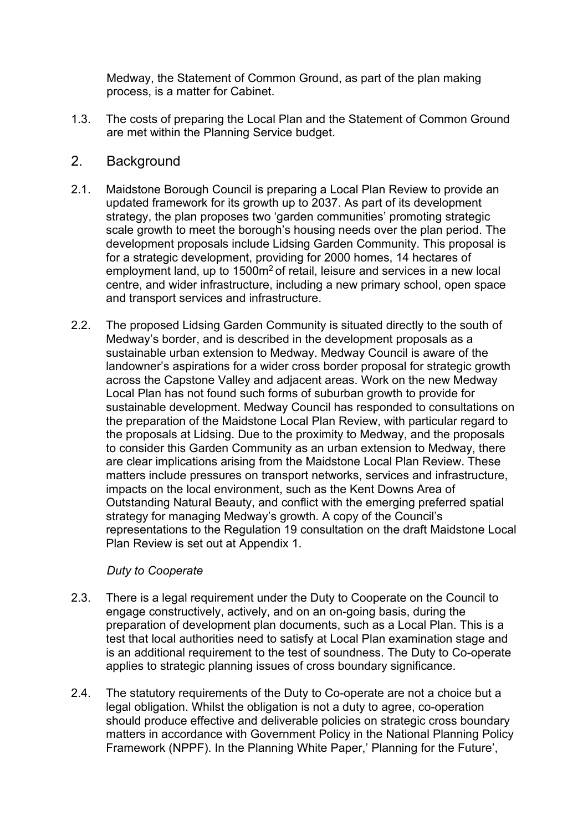Medway, the Statement of Common Ground, as part of the plan making process, is a matter for Cabinet.

1.3. The costs of preparing the Local Plan and the Statement of Common Ground are met within the Planning Service budget.

### 2. Background

- 2.1. Maidstone Borough Council is preparing a Local Plan Review to provide an updated framework for its growth up to 2037. As part of its development strategy, the plan proposes two 'garden communities' promoting strategic scale growth to meet the borough's housing needs over the plan period. The development proposals include Lidsing Garden Community. This proposal is for a strategic development, providing for 2000 homes, 14 hectares of employment land, up to 1500m<sup>2</sup> of retail, leisure and services in a new local centre, and wider infrastructure, including a new primary school, open space and transport services and infrastructure.
- 2.2. The proposed Lidsing Garden Community is situated directly to the south of Medway's border, and is described in the development proposals as a sustainable urban extension to Medway. Medway Council is aware of the landowner's aspirations for a wider cross border proposal for strategic growth across the Capstone Valley and adjacent areas. Work on the new Medway Local Plan has not found such forms of suburban growth to provide for sustainable development. Medway Council has responded to consultations on the preparation of the Maidstone Local Plan Review, with particular regard to the proposals at Lidsing. Due to the proximity to Medway, and the proposals to consider this Garden Community as an urban extension to Medway, there are clear implications arising from the Maidstone Local Plan Review. These matters include pressures on transport networks, services and infrastructure, impacts on the local environment, such as the Kent Downs Area of Outstanding Natural Beauty, and conflict with the emerging preferred spatial strategy for managing Medway's growth. A copy of the Council's representations to the Regulation 19 consultation on the draft Maidstone Local Plan Review is set out at Appendix 1.

#### *Duty to Cooperate*

- 2.3. There is a legal requirement under the Duty to Cooperate on the Council to engage constructively, actively, and on an on-going basis, during the preparation of development plan documents, such as a Local Plan. This is a test that local authorities need to satisfy at Local Plan examination stage and is an additional requirement to the test of soundness. The Duty to Co-operate applies to strategic planning issues of cross boundary significance.
- 2.4. The statutory requirements of the Duty to Co-operate are not a choice but a legal obligation. Whilst the obligation is not a duty to agree, co-operation should produce effective and deliverable policies on strategic cross boundary matters in accordance with Government Policy in the National Planning Policy Framework (NPPF). In the Planning White Paper,' Planning for the Future',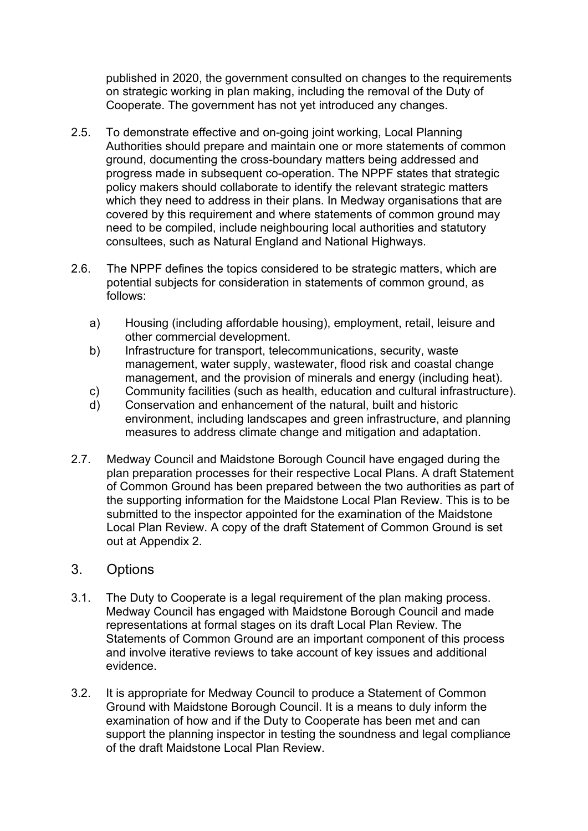published in 2020, the government consulted on changes to the requirements on strategic working in plan making, including the removal of the Duty of Cooperate. The government has not yet introduced any changes.

- 2.5. To demonstrate effective and on-going joint working, Local Planning Authorities should prepare and maintain one or more statements of common ground, documenting the cross-boundary matters being addressed and progress made in subsequent co-operation. The NPPF states that strategic policy makers should collaborate to identify the relevant strategic matters which they need to address in their plans. In Medway organisations that are covered by this requirement and where statements of common ground may need to be compiled, include neighbouring local authorities and statutory consultees, such as Natural England and National Highways.
- 2.6. The NPPF defines the topics considered to be strategic matters, which are potential subjects for consideration in statements of common ground, as follows:
	- a) Housing (including affordable housing), employment, retail, leisure and other commercial development.
	- b) Infrastructure for transport, telecommunications, security, waste management, water supply, wastewater, flood risk and coastal change management, and the provision of minerals and energy (including heat).
	- c) Community facilities (such as health, education and cultural infrastructure).
	- d) Conservation and enhancement of the natural, built and historic environment, including landscapes and green infrastructure, and planning measures to address climate change and mitigation and adaptation.
- 2.7. Medway Council and Maidstone Borough Council have engaged during the plan preparation processes for their respective Local Plans. A draft Statement of Common Ground has been prepared between the two authorities as part of the supporting information for the Maidstone Local Plan Review. This is to be submitted to the inspector appointed for the examination of the Maidstone Local Plan Review. A copy of the draft Statement of Common Ground is set out at Appendix 2.

#### 3. Options

- 3.1. The Duty to Cooperate is a legal requirement of the plan making process. Medway Council has engaged with Maidstone Borough Council and made representations at formal stages on its draft Local Plan Review. The Statements of Common Ground are an important component of this process and involve iterative reviews to take account of key issues and additional evidence.
- 3.2. It is appropriate for Medway Council to produce a Statement of Common Ground with Maidstone Borough Council. It is a means to duly inform the examination of how and if the Duty to Cooperate has been met and can support the planning inspector in testing the soundness and legal compliance of the draft Maidstone Local Plan Review.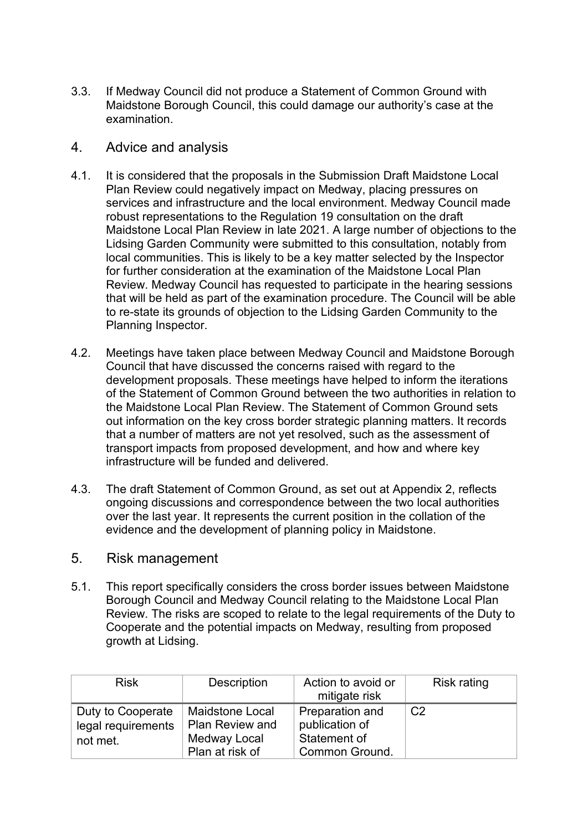3.3. If Medway Council did not produce a Statement of Common Ground with Maidstone Borough Council, this could damage our authority's case at the examination.

## 4. Advice and analysis

- 4.1. It is considered that the proposals in the Submission Draft Maidstone Local Plan Review could negatively impact on Medway, placing pressures on services and infrastructure and the local environment. Medway Council made robust representations to the Regulation 19 consultation on the draft Maidstone Local Plan Review in late 2021. A large number of objections to the Lidsing Garden Community were submitted to this consultation, notably from local communities. This is likely to be a key matter selected by the Inspector for further consideration at the examination of the Maidstone Local Plan Review. Medway Council has requested to participate in the hearing sessions that will be held as part of the examination procedure. The Council will be able to re-state its grounds of objection to the Lidsing Garden Community to the Planning Inspector.
- 4.2. Meetings have taken place between Medway Council and Maidstone Borough Council that have discussed the concerns raised with regard to the development proposals. These meetings have helped to inform the iterations of the Statement of Common Ground between the two authorities in relation to the Maidstone Local Plan Review. The Statement of Common Ground sets out information on the key cross border strategic planning matters. It records that a number of matters are not yet resolved, such as the assessment of transport impacts from proposed development, and how and where key infrastructure will be funded and delivered.
- 4.3. The draft Statement of Common Ground, as set out at Appendix 2, reflects ongoing discussions and correspondence between the two local authorities over the last year. It represents the current position in the collation of the evidence and the development of planning policy in Maidstone.
- 5. Risk management
- 5.1. This report specifically considers the cross border issues between Maidstone Borough Council and Medway Council relating to the Maidstone Local Plan Review. The risks are scoped to relate to the legal requirements of the Duty to Cooperate and the potential impacts on Medway, resulting from proposed growth at Lidsing.

| <b>Risk</b>                                         | <b>Description</b>                                                           | Action to avoid or<br>mitigate risk                                        | Risk rating    |
|-----------------------------------------------------|------------------------------------------------------------------------------|----------------------------------------------------------------------------|----------------|
| Duty to Cooperate<br>legal requirements<br>not met. | <b>Maidstone Local</b><br>Plan Review and<br>Medway Local<br>Plan at risk of | Preparation and<br>publication of<br>Statement of<br><b>Common Ground.</b> | C <sub>2</sub> |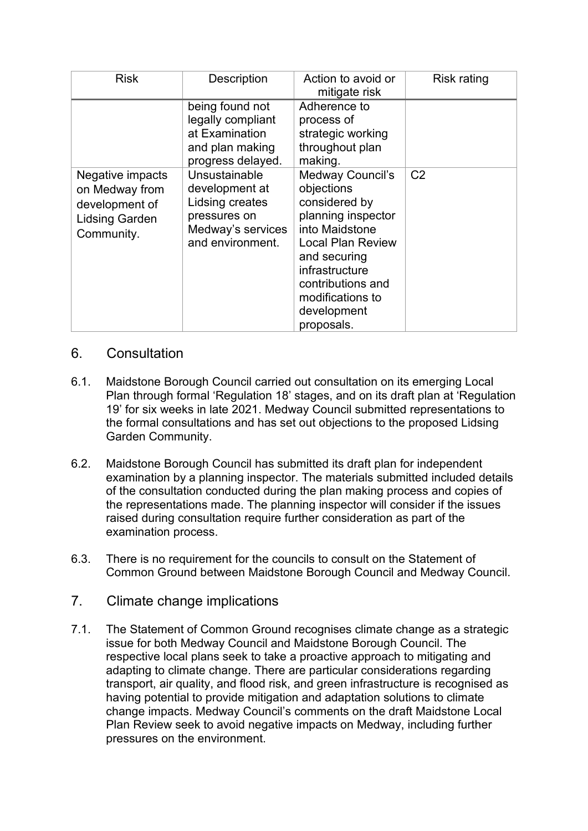| <b>Risk</b>                                                                                 | Description                                                                                                 | Action to avoid or<br>mitigate risk                                                                                                                                                                                                | <b>Risk rating</b> |
|---------------------------------------------------------------------------------------------|-------------------------------------------------------------------------------------------------------------|------------------------------------------------------------------------------------------------------------------------------------------------------------------------------------------------------------------------------------|--------------------|
|                                                                                             | being found not<br>legally compliant<br>at Examination<br>and plan making<br>progress delayed.              | Adherence to<br>process of<br>strategic working<br>throughout plan<br>making.                                                                                                                                                      |                    |
| Negative impacts<br>on Medway from<br>development of<br><b>Lidsing Garden</b><br>Community. | Unsustainable<br>development at<br>Lidsing creates<br>pressures on<br>Medway's services<br>and environment. | <b>Medway Council's</b><br>objections<br>considered by<br>planning inspector<br>into Maidstone<br><b>Local Plan Review</b><br>and securing<br>infrastructure<br>contributions and<br>modifications to<br>development<br>proposals. | C <sub>2</sub>     |

# 6. Consultation

- 6.1. Maidstone Borough Council carried out consultation on its emerging Local Plan through formal 'Regulation 18' stages, and on its draft plan at 'Regulation 19' for six weeks in late 2021. Medway Council submitted representations to the formal consultations and has set out objections to the proposed Lidsing Garden Community.
- 6.2. Maidstone Borough Council has submitted its draft plan for independent examination by a planning inspector. The materials submitted included details of the consultation conducted during the plan making process and copies of the representations made. The planning inspector will consider if the issues raised during consultation require further consideration as part of the examination process.
- 6.3. There is no requirement for the councils to consult on the Statement of Common Ground between Maidstone Borough Council and Medway Council.
- 7. Climate change implications
- 7.1. The Statement of Common Ground recognises climate change as a strategic issue for both Medway Council and Maidstone Borough Council. The respective local plans seek to take a proactive approach to mitigating and adapting to climate change. There are particular considerations regarding transport, air quality, and flood risk, and green infrastructure is recognised as having potential to provide mitigation and adaptation solutions to climate change impacts. Medway Council's comments on the draft Maidstone Local Plan Review seek to avoid negative impacts on Medway, including further pressures on the environment.